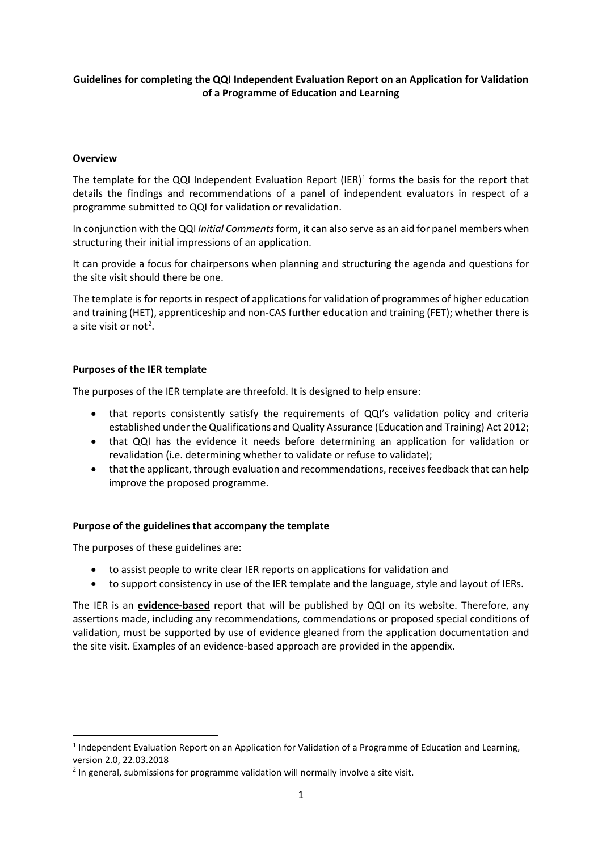# **Guidelines for completing the QQI Independent Evaluation Report on an Application for Validation of a Programme of Education and Learning**

### **Overview**

The template for the QQI Independent Evaluation Report (IER)<sup>[1](#page-0-0)</sup> forms the basis for the report that details the findings and recommendations of a panel of independent evaluators in respect of a programme submitted to QQI for validation or revalidation.

In conjunction with the QQI *Initial Comments*form, it can also serve as an aid for panel members when structuring their initial impressions of an application.

It can provide a focus for chairpersons when planning and structuring the agenda and questions for the site visit should there be one.

The template is for reports in respect of applications for validation of programmes of higher education and training (HET), apprenticeship and non-CAS further education and training (FET); whether there is a site visit or not<sup>[2](#page-0-1)</sup>.

#### **Purposes of the IER template**

The purposes of the IER template are threefold. It is designed to help ensure:

- that reports consistently satisfy the requirements of QQI's validation policy and criteria established under the Qualifications and Quality Assurance (Education and Training) Act 2012;
- that QQI has the evidence it needs before determining an application for validation or revalidation (i.e. determining whether to validate or refuse to validate);
- that the applicant, through evaluation and recommendations, receives feedback that can help improve the proposed programme.

### **Purpose of the guidelines that accompany the template**

The purposes of these guidelines are:

- to assist people to write clear IER reports on applications for validation and
- to support consistency in use of the IER template and the language, style and layout of IERs.

The IER is an **evidence-based** report that will be published by QQI on its website. Therefore, any assertions made, including any recommendations, commendations or proposed special conditions of validation, must be supported by use of evidence gleaned from the application documentation and the site visit. Examples of an evidence-based approach are provided in the appendix.

<span id="page-0-0"></span><sup>&</sup>lt;sup>1</sup> Independent Evaluation Report on an Application for Validation of a Programme of Education and Learning, version 2.0, 22.03.2018

<span id="page-0-1"></span> $<sup>2</sup>$  In general, submissions for programme validation will normally involve a site visit.</sup>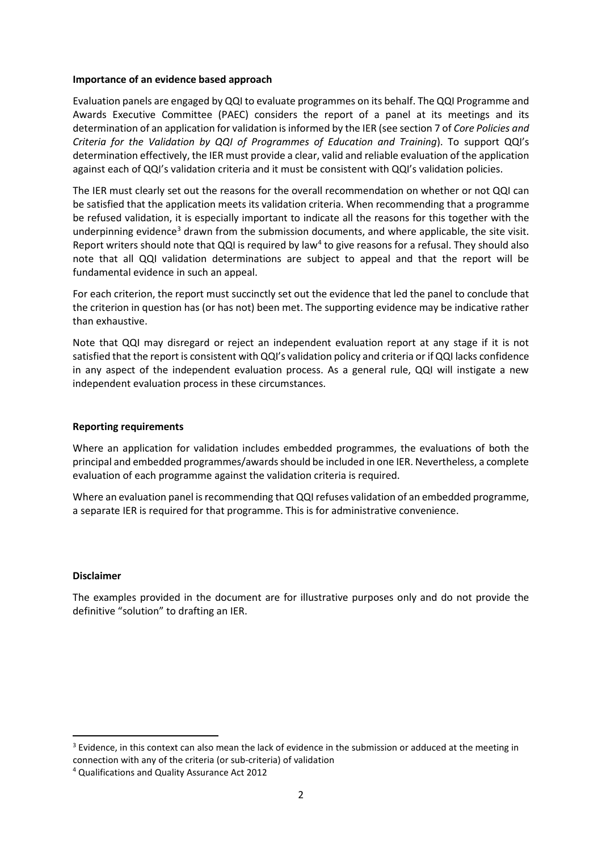#### **Importance of an evidence based approach**

Evaluation panels are engaged by QQI to evaluate programmes on its behalf. The QQI Programme and Awards Executive Committee (PAEC) considers the report of a panel at its meetings and its determination of an application for validation is informed by the IER (see section 7 of *Core Policies and Criteria for the Validation by QQI of Programmes of Education and Training*). To support QQI's determination effectively, the IER must provide a clear, valid and reliable evaluation of the application against each of QQI's validation criteria and it must be consistent with QQI's validation policies.

The IER must clearly set out the reasons for the overall recommendation on whether or not QQI can be satisfied that the application meets its validation criteria. When recommending that a programme be refused validation, it is especially important to indicate all the reasons for this together with the underpinning evidence<sup>3</sup> drawn from the submission documents, and where applicable, the site visit. Report writers should note that QQI is required by law<sup>[4](#page-1-1)</sup> to give reasons for a refusal. They should also note that all QQI validation determinations are subject to appeal and that the report will be fundamental evidence in such an appeal.

For each criterion, the report must succinctly set out the evidence that led the panel to conclude that the criterion in question has (or has not) been met. The supporting evidence may be indicative rather than exhaustive.

Note that QQI may disregard or reject an independent evaluation report at any stage if it is not satisfied that the report is consistent with QQI's validation policy and criteria or if QQI lacks confidence in any aspect of the independent evaluation process. As a general rule, QQI will instigate a new independent evaluation process in these circumstances.

#### **Reporting requirements**

Where an application for validation includes embedded programmes, the evaluations of both the principal and embedded programmes/awardsshould be included in one IER. Nevertheless, a complete evaluation of each programme against the validation criteria is required.

Where an evaluation panel is recommending that QQI refuses validation of an embedded programme, a separate IER is required for that programme. This is for administrative convenience.

#### **Disclaimer**

The examples provided in the document are for illustrative purposes only and do not provide the definitive "solution" to drafting an IER.

<span id="page-1-0"></span><sup>&</sup>lt;sup>3</sup> Evidence, in this context can also mean the lack of evidence in the submission or adduced at the meeting in connection with any of the criteria (or sub-criteria) of validation

<span id="page-1-1"></span><sup>4</sup> Qualifications and Quality Assurance Act 2012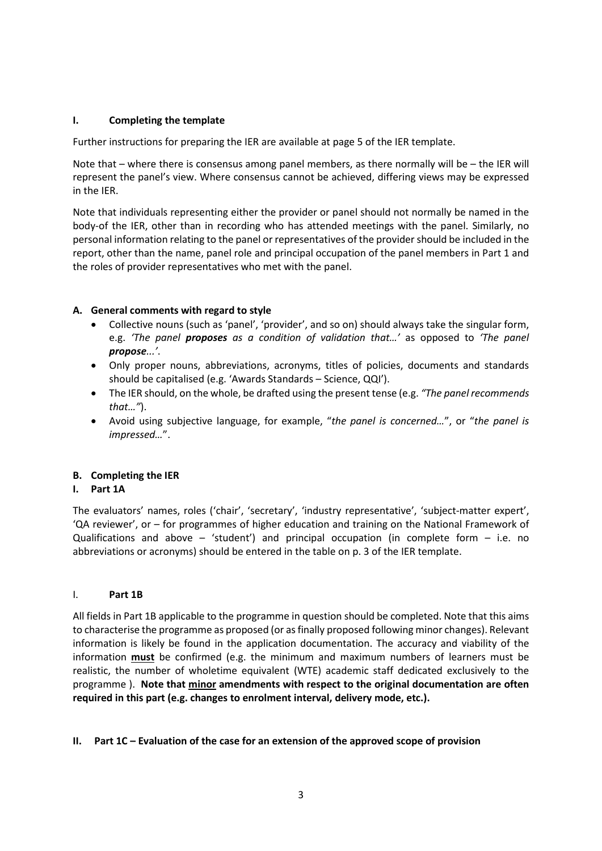# **I. Completing the template**

Further instructions for preparing the IER are available at page 5 of the IER template.

Note that – where there is consensus among panel members, as there normally will be – the IER will represent the panel's view. Where consensus cannot be achieved, differing views may be expressed in the IER.

Note that individuals representing either the provider or panel should not normally be named in the body-of the IER, other than in recording who has attended meetings with the panel. Similarly, no personal information relating to the panel or representatives of the provider should be included in the report, other than the name, panel role and principal occupation of the panel members in Part 1 and the roles of provider representatives who met with the panel.

# **A. General comments with regard to style**

- Collective nouns (such as 'panel', 'provider', and so on) should always take the singular form, e.g. *'The panel proposes as a condition of validation that…'* as opposed to *'The panel propose...'*.
- Only proper nouns, abbreviations, acronyms, titles of policies, documents and standards should be capitalised (e.g. 'Awards Standards – Science, QQI').
- The IER should, on the whole, be drafted using the present tense (e.g. *"The panel recommends that…"*).
- Avoid using subjective language, for example, "*the panel is concerned…*", or "*the panel is impressed…*".

# **B. Completing the IER**

### **I. Part 1A**

The evaluators' names, roles ('chair', 'secretary', 'industry representative', 'subject-matter expert', 'QA reviewer', or – for programmes of higher education and training on the National Framework of Qualifications and above – 'student') and principal occupation (in complete form  $-$  i.e. no abbreviations or acronyms) should be entered in the table on p. 3 of the IER template.

### I. **Part 1B**

All fields in Part 1B applicable to the programme in question should be completed. Note that this aims to characterise the programme as proposed (or as finally proposed following minor changes). Relevant information is likely be found in the application documentation. The accuracy and viability of the information **must** be confirmed (e.g. the minimum and maximum numbers of learners must be realistic, the number of wholetime equivalent (WTE) academic staff dedicated exclusively to the programme ). **Note that minor amendments with respect to the original documentation are often required in this part (e.g. changes to enrolment interval, delivery mode, etc.).**

### **II. Part 1C – Evaluation of the case for an extension of the approved scope of provision**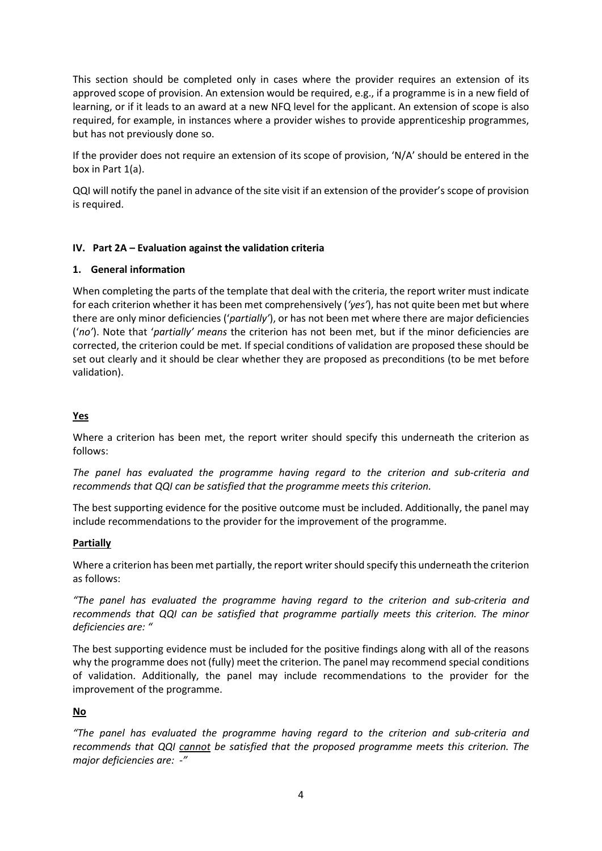This section should be completed only in cases where the provider requires an extension of its approved scope of provision. An extension would be required, e.g., if a programme is in a new field of learning, or if it leads to an award at a new NFQ level for the applicant. An extension of scope is also required, for example, in instances where a provider wishes to provide apprenticeship programmes, but has not previously done so.

If the provider does not require an extension of its scope of provision, 'N/A' should be entered in the box in Part 1(a).

QQI will notify the panel in advance of the site visit if an extension of the provider's scope of provision is required.

# **IV. Part 2A – Evaluation against the validation criteria**

# **1. General information**

When completing the parts of the template that deal with the criteria, the report writer must indicate for each criterion whether it has been met comprehensively (*'yes'*), has not quite been met but where there are only minor deficiencies ('*partially'*), or has not been met where there are major deficiencies ('*no'*). Note that '*partially' means* the criterion has not been met, but if the minor deficiencies are corrected, the criterion could be met*.* If special conditions of validation are proposed these should be set out clearly and it should be clear whether they are proposed as preconditions (to be met before validation).

# **Yes**

Where a criterion has been met, the report writer should specify this underneath the criterion as follows:

*The panel has evaluated the programme having regard to the criterion and sub-criteria and recommends that QQI can be satisfied that the programme meets this criterion.*

The best supporting evidence for the positive outcome must be included. Additionally, the panel may include recommendations to the provider for the improvement of the programme.

### **Partially**

Where a criterion has been met partially, the report writer should specify this underneath the criterion as follows:

*"The panel has evaluated the programme having regard to the criterion and sub-criteria and recommends that QQI can be satisfied that programme partially meets this criterion. The minor deficiencies are: "*

The best supporting evidence must be included for the positive findings along with all of the reasons why the programme does not (fully) meet the criterion. The panel may recommend special conditions of validation. Additionally, the panel may include recommendations to the provider for the improvement of the programme.

# **No**

*"The panel has evaluated the programme having regard to the criterion and sub-criteria and recommends that QQI cannot be satisfied that the proposed programme meets this criterion. The major deficiencies are: -"*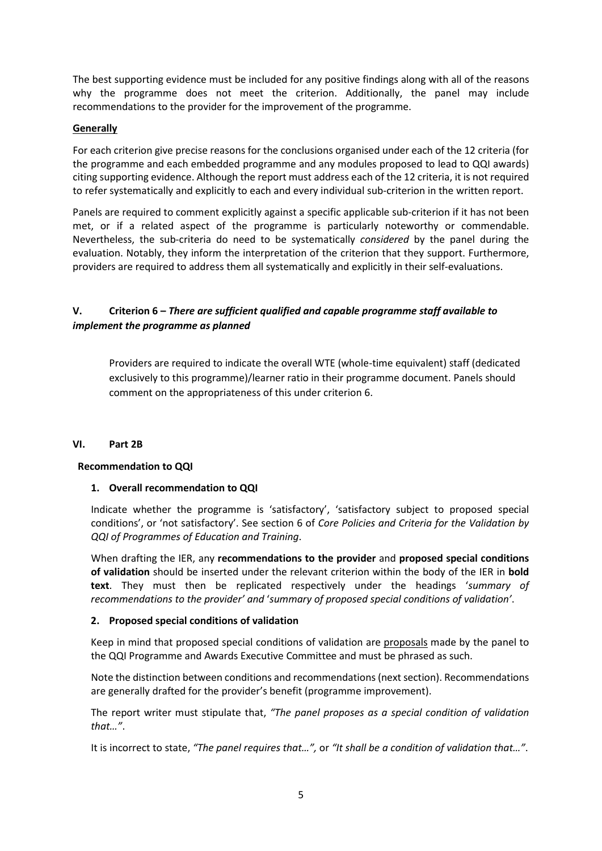The best supporting evidence must be included for any positive findings along with all of the reasons why the programme does not meet the criterion. Additionally, the panel may include recommendations to the provider for the improvement of the programme.

# **Generally**

For each criterion give precise reasons for the conclusions organised under each of the 12 criteria (for the programme and each embedded programme and any modules proposed to lead to QQI awards) citing supporting evidence. Although the report must address each of the 12 criteria, it is not required to refer systematically and explicitly to each and every individual sub-criterion in the written report.

Panels are required to comment explicitly against a specific applicable sub-criterion if it has not been met, or if a related aspect of the programme is particularly noteworthy or commendable. Nevertheless, the sub-criteria do need to be systematically *considered* by the panel during the evaluation. Notably, they inform the interpretation of the criterion that they support. Furthermore, providers are required to address them all systematically and explicitly in their self-evaluations.

# **V. Criterion 6 –** *There are sufficient qualified and capable programme staff available to implement the programme as planned*

Providers are required to indicate the overall WTE (whole-time equivalent) staff (dedicated exclusively to this programme)/learner ratio in their programme document. Panels should comment on the appropriateness of this under criterion 6.

### **VI. Part 2B**

### **Recommendation to QQI**

# **1. Overall recommendation to QQI**

Indicate whether the programme is 'satisfactory', 'satisfactory subject to proposed special conditions', or 'not satisfactory'. See section 6 of *Core Policies and Criteria for the Validation by QQI of Programmes of Education and Training*.

When drafting the IER, any **recommendations to the provider** and **proposed special conditions of validation** should be inserted under the relevant criterion within the body of the IER in **bold text**. They must then be replicated respectively under the headings '*summary of recommendations to the provider' and* '*summary of proposed special conditions of validation'*.

# **2. Proposed special conditions of validation**

Keep in mind that proposed special conditions of validation are proposals made by the panel to the QQI Programme and Awards Executive Committee and must be phrased as such.

Note the distinction between conditions and recommendations(next section). Recommendations are generally drafted for the provider's benefit (programme improvement).

The report writer must stipulate that, *"The panel proposes as a special condition of validation that…"*.

It is incorrect to state, *"The panel requires that…",* or *"It shall be a condition of validation that…"*.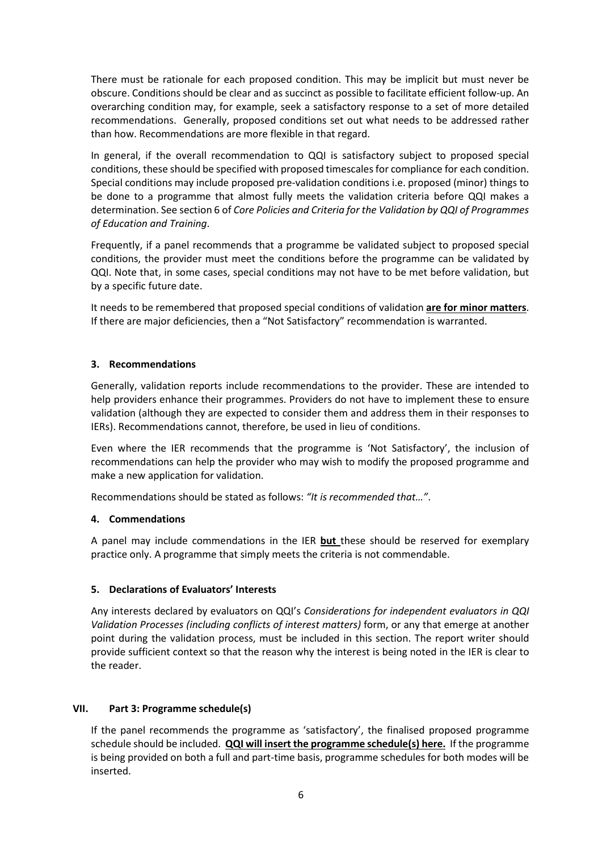There must be rationale for each proposed condition. This may be implicit but must never be obscure. Conditions should be clear and as succinct as possible to facilitate efficient follow-up. An overarching condition may, for example, seek a satisfactory response to a set of more detailed recommendations. Generally, proposed conditions set out what needs to be addressed rather than how. Recommendations are more flexible in that regard.

In general, if the overall recommendation to QQI is satisfactory subject to proposed special conditions, these should be specified with proposed timescalesfor compliance for each condition. Special conditions may include proposed pre-validation conditions i.e. proposed (minor) things to be done to a programme that almost fully meets the validation criteria before QQI makes a determination. See section 6 of *Core Policies and Criteria for the Validation by QQI of Programmes of Education and Training*.

Frequently, if a panel recommends that a programme be validated subject to proposed special conditions, the provider must meet the conditions before the programme can be validated by QQI. Note that, in some cases, special conditions may not have to be met before validation, but by a specific future date.

It needs to be remembered that proposed special conditions of validation **are for minor matters**. If there are major deficiencies, then a "Not Satisfactory" recommendation is warranted.

# **3. Recommendations**

Generally, validation reports include recommendations to the provider. These are intended to help providers enhance their programmes. Providers do not have to implement these to ensure validation (although they are expected to consider them and address them in their responses to IERs). Recommendations cannot, therefore, be used in lieu of conditions.

Even where the IER recommends that the programme is 'Not Satisfactory', the inclusion of recommendations can help the provider who may wish to modify the proposed programme and make a new application for validation.

Recommendations should be stated as follows: *"It is recommended that…"*.

### **4. Commendations**

A panel may include commendations in the IER **but** these should be reserved for exemplary practice only. A programme that simply meets the criteria is not commendable.

### **5. Declarations of Evaluators' Interests**

Any interests declared by evaluators on QQI's *Considerations for independent evaluators in QQI Validation Processes (including conflicts of interest matters)* form, or any that emerge at another point during the validation process, must be included in this section. The report writer should provide sufficient context so that the reason why the interest is being noted in the IER is clear to the reader.

### **VII. Part 3: Programme schedule(s)**

If the panel recommends the programme as 'satisfactory', the finalised proposed programme schedule should be included. **QQI will insert the programme schedule(s) here.** If the programme is being provided on both a full and part-time basis, programme schedules for both modes will be inserted.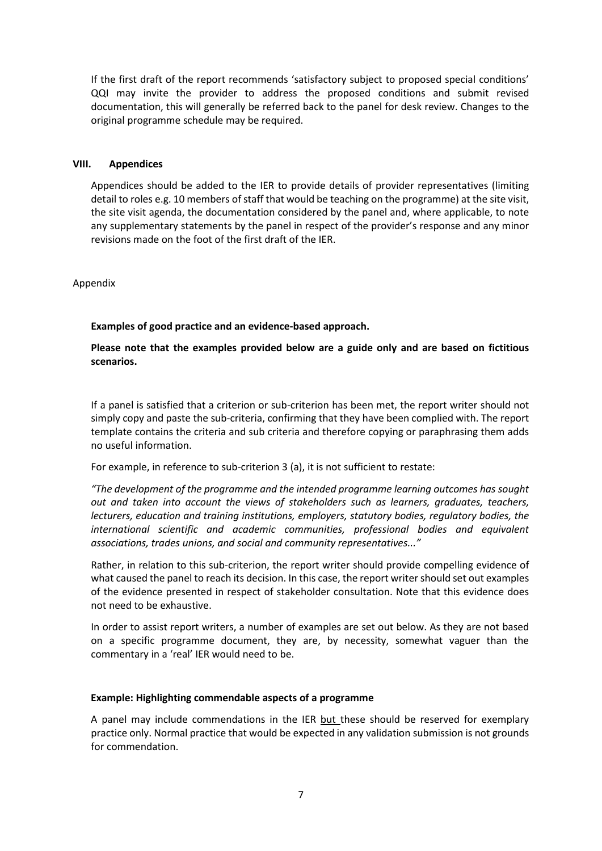If the first draft of the report recommends 'satisfactory subject to proposed special conditions' QQI may invite the provider to address the proposed conditions and submit revised documentation, this will generally be referred back to the panel for desk review. Changes to the original programme schedule may be required.

#### **VIII. Appendices**

Appendices should be added to the IER to provide details of provider representatives (limiting detail to roles e.g. 10 members of staff that would be teaching on the programme) at the site visit, the site visit agenda, the documentation considered by the panel and, where applicable, to note any supplementary statements by the panel in respect of the provider's response and any minor revisions made on the foot of the first draft of the IER.

Appendix

### **Examples of good practice and an evidence-based approach.**

**Please note that the examples provided below are a guide only and are based on fictitious scenarios.** 

If a panel is satisfied that a criterion or sub-criterion has been met, the report writer should not simply copy and paste the sub-criteria, confirming that they have been complied with. The report template contains the criteria and sub criteria and therefore copying or paraphrasing them adds no useful information.

For example, in reference to sub-criterion 3 (a), it is not sufficient to restate:

*"The development of the programme and the intended programme learning outcomes has sought out and taken into account the views of stakeholders such as learners, graduates, teachers, lecturers, education and training institutions, employers, statutory bodies, regulatory bodies, the international scientific and academic communities, professional bodies and equivalent associations, trades unions, and social and community representatives..."*

Rather, in relation to this sub-criterion, the report writer should provide compelling evidence of what caused the panel to reach its decision. In this case, the report writer should set out examples of the evidence presented in respect of stakeholder consultation. Note that this evidence does not need to be exhaustive.

In order to assist report writers, a number of examples are set out below. As they are not based on a specific programme document, they are, by necessity, somewhat vaguer than the commentary in a 'real' IER would need to be.

### **Example: Highlighting commendable aspects of a programme**

A panel may include commendations in the IER but these should be reserved for exemplary practice only. Normal practice that would be expected in any validation submission is not grounds for commendation.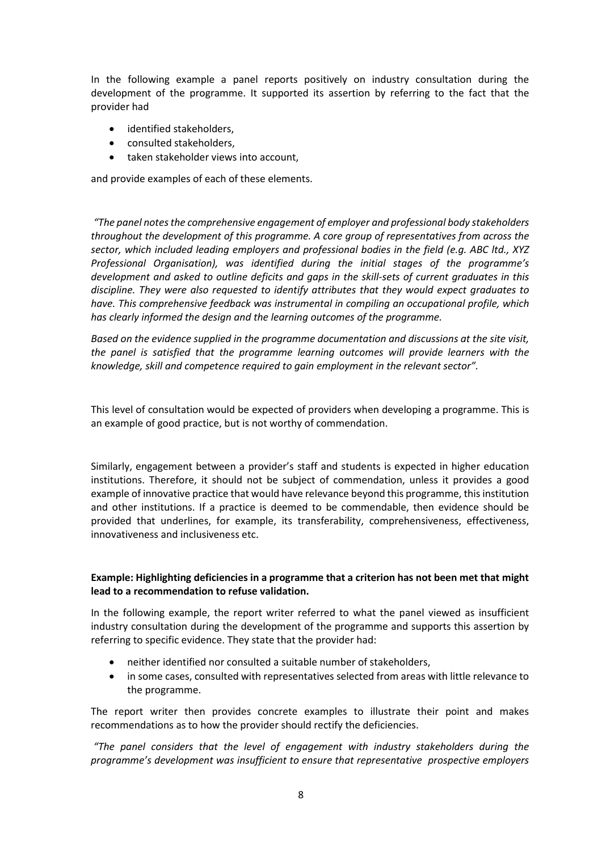In the following example a panel reports positively on industry consultation during the development of the programme. It supported its assertion by referring to the fact that the provider had

- identified stakeholders,
- consulted stakeholders,
- taken stakeholder views into account,

and provide examples of each of these elements.

*"The panel notes the comprehensive engagement of employer and professional body stakeholders throughout the development of this programme. A core group of representatives from across the sector, which included leading employers and professional bodies in the field (e.g. ABC ltd., XYZ Professional Organisation), was identified during the initial stages of the programme's development and asked to outline deficits and gaps in the skill-sets of current graduates in this discipline. They were also requested to identify attributes that they would expect graduates to have. This comprehensive feedback was instrumental in compiling an occupational profile, which has clearly informed the design and the learning outcomes of the programme.*

*Based on the evidence supplied in the programme documentation and discussions at the site visit, the panel is satisfied that the programme learning outcomes will provide learners with the knowledge, skill and competence required to gain employment in the relevant sector".*

This level of consultation would be expected of providers when developing a programme. This is an example of good practice, but is not worthy of commendation.

Similarly, engagement between a provider's staff and students is expected in higher education institutions. Therefore, it should not be subject of commendation, unless it provides a good example of innovative practice that would have relevance beyond this programme, this institution and other institutions. If a practice is deemed to be commendable, then evidence should be provided that underlines, for example, its transferability, comprehensiveness, effectiveness, innovativeness and inclusiveness etc.

# **Example: Highlighting deficiencies in a programme that a criterion has not been met that might lead to a recommendation to refuse validation.**

In the following example, the report writer referred to what the panel viewed as insufficient industry consultation during the development of the programme and supports this assertion by referring to specific evidence. They state that the provider had:

- neither identified nor consulted a suitable number of stakeholders,
- in some cases, consulted with representatives selected from areas with little relevance to the programme.

The report writer then provides concrete examples to illustrate their point and makes recommendations as to how the provider should rectify the deficiencies.

*"The panel considers that the level of engagement with industry stakeholders during the programme's development was insufficient to ensure that representative prospective employers*